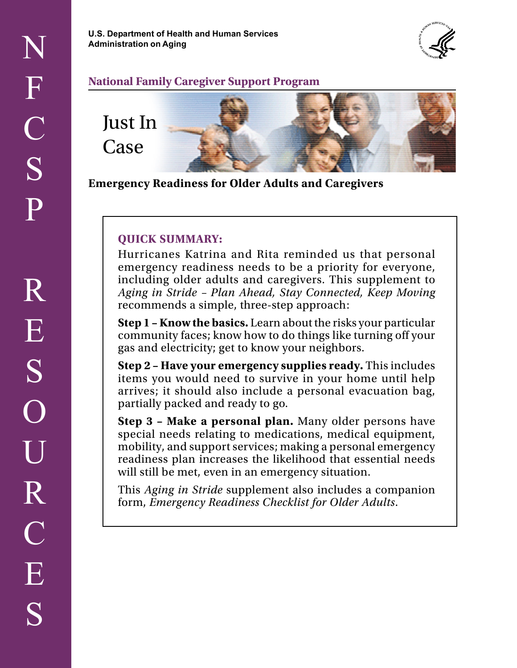**U.S. Department of Health and Human Services Administration on Aging** 



#### **National Family Caregiver Support Program**



**Emergency Readiness for Older Adults and Caregivers** 

#### **QUICK SUMMARY:**

Hurricanes Katrina and Rita reminded us that personal emergency readiness needs to be a priority for everyone, including older adults and caregivers. This supplement to *Aging in Stride – Plan Ahead, Stay Connected, Keep Moving*  recommends a simple, three-step approach:

**Step 1 – Know the basics.** Learn about the risks your particular community faces; know how to do things like turning off your gas and electricity; get to know your neighbors.

**Step 2 – Have your emergency supplies ready.** This includes items you would need to survive in your home until help arrives; it should also include a personal evacuation bag, partially packed and ready to go.

**Step 3 – Make a personal plan.** Many older persons have special needs relating to medications, medical equipment, mobility, and support services; making a personal emergency readiness plan increases the likelihood that essential needs will still be met, even in an emergency situation.

This *Aging in Stride* supplement also includes a companion form, *Emergency Readiness Checklist for Older Adults*.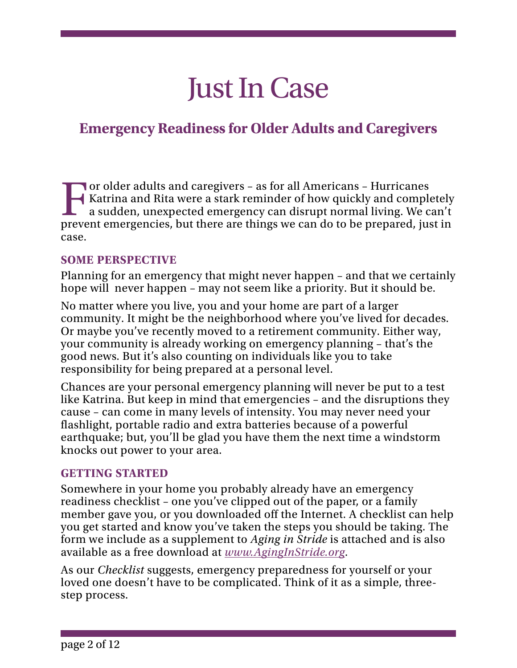# Just In Case

# **Emergency Readiness for Older Adults and Caregivers**

 Katrina and Rita were a stark reminder of how quickly and completely For older adults and caregivers – as for all Americans – Hurricanes a sudden, unexpected emergency can disrupt normal living. We can't prevent emergencies, but there are things we can do to be prepared, just in case.

## **SOME PERSPECTIVE**

 Planning for an emergency that might never happen – and that we certainly hope will never happen – may not seem like a priority. But it should be.

 No matter where you live, you and your home are part of a larger community. It might be the neighborhood where you've lived for decades. Or maybe you've recently moved to a retirement community. Either way, your community is already working on emergency planning – that's the good news. But it's also counting on individuals like you to take responsibility for being prepared at a personal level.

 Chances are your personal emergency planning will never be put to a test knocks out power to your area. like Katrina. But keep in mind that emergencies – and the disruptions they cause – can come in many levels of intensity. You may never need your flashlight, portable radio and extra batteries because of a powerful earthquake; but, you'll be glad you have them the next time a windstorm

#### **GETTING STARTED**

Somewhere in your home you probably already have an emergency readiness checklist – one you've clipped out of the paper, or a family member gave you, or you downloaded off the Internet. A checklist can help you get started and know you've taken the steps you should be taking. The form we include as a supplement to *Aging in Stride* is attached and is also available as a free download at *[www.AgingInStride.org](http://www.AgingInStride.org)*.

As our *Checklist* suggests, emergency preparedness for yourself or your loved one doesn't have to be complicated. Think of it as a simple, threestep process.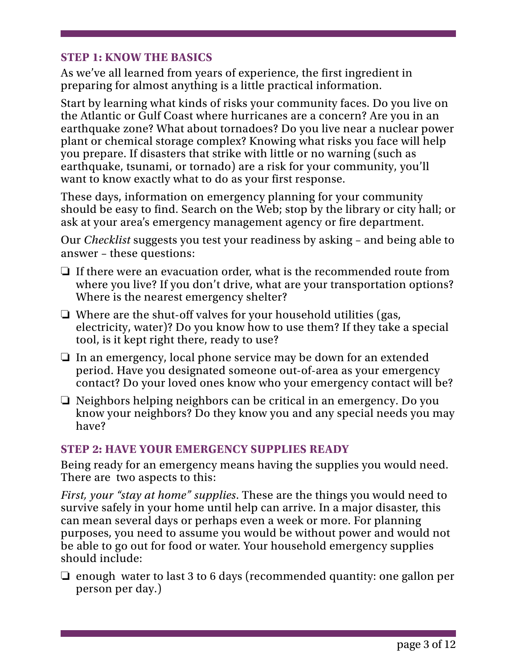## **STEP 1: KNOW THE BASICS**

As we've all learned from years of experience, the first ingredient in preparing for almost anything is a little practical information.

Start by learning what kinds of risks your community faces. Do you live on the Atlantic or Gulf Coast where hurricanes are a concern? Are you in an earthquake zone? What about tornadoes? Do you live near a nuclear power plant or chemical storage complex? Knowing what risks you face will help you prepare. If disasters that strike with little or no warning (such as earthquake, tsunami, or tornado) are a risk for your community, you'll want to know exactly what to do as your first response.

These days, information on emergency planning for your community should be easy to find. Search on the Web; stop by the library or city hall; or ask at your area's emergency management agency or fire department.

Our *Checklist* suggests you test your readiness by asking – and being able to answer – these questions:

- $\Box$  If there were an evacuation order, what is the recommended route from where you live? If you don't drive, what are your transportation options? Where is the nearest emergency shelter?
- $\Box$  Where are the shut-off valves for your household utilities (gas, electricity, water)? Do you know how to use them? If they take a special tool, is it kept right there, ready to use?
- $\Box$  In an emergency, local phone service may be down for an extended period. Have you designated someone out-of-area as your emergency contact? Do your loved ones know who your emergency contact will be?
- $\Box$  Neighbors helping neighbors can be critical in an emergency. Do you know your neighbors? Do they know you and any special needs you may have?

## **STEP 2: HAVE YOUR EMERGENCY SUPPLIES READY**

Being ready for an emergency means having the supplies you would need. There are two aspects to this:

 survive safely in your home until help can arrive. In a major disaster, this *First, your "stay at home" supplies*. These are the things you would need to can mean several days or perhaps even a week or more. For planning purposes, you need to assume you would be without power and would not be able to go out for food or water. Your household emergency supplies should include:

 $\Box$  enough water to last 3 to 6 days (recommended quantity: one gallon per person per day.)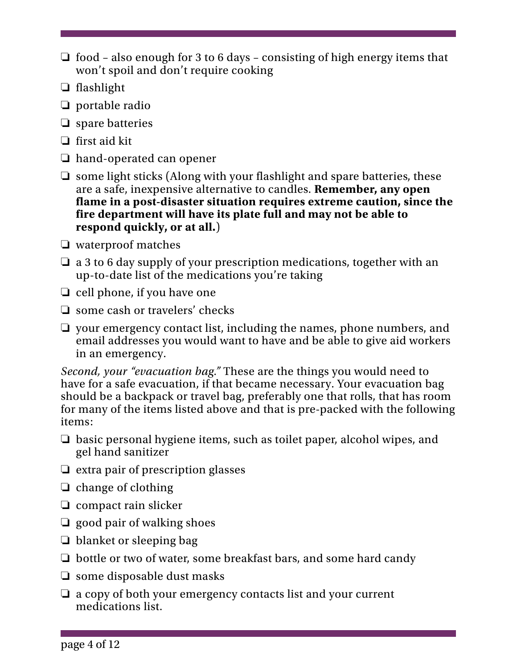- $\Box$  food also enough for 3 to 6 days consisting of high energy items that won't spoil and don't require cooking
- $\Box$  flashlight
- $\Box$  portable radio
- $\Box$  spare batteries
- $\Box$  first aid kit
- $\Box$  hand-operated can opener
- $\Box$  some light sticks (Along with your flashlight and spare batteries, these are a safe, inexpensive alternative to candles. **Remember, any open flame in a post-disaster situation requires extreme caution, since the fire department will have its plate full and may not be able to respond quickly, or at all.**)
- $\Box$  waterproof matches
- $\Box$  a 3 to 6 day supply of your prescription medications, together with an up-to-date list of the medications you're taking
- $\Box$  cell phone, if you have one
- $\Box$  some cash or travelers' checks
- $\Box$  your emergency contact list, including the names, phone numbers, and email addresses you would want to have and be able to give aid workers in an emergency.

 should be a backpack or travel bag, preferably one that rolls, that has room *Second, your "evacuation bag."* These are the things you would need to have for a safe evacuation, if that became necessary. Your evacuation bag for many of the items listed above and that is pre-packed with the following items:

- $\Box$  basic personal hygiene items, such as toilet paper, alcohol wipes, and gel hand sanitizer
- $\Box$  extra pair of prescription glasses
- $\Box$  change of clothing
- $\Box$  compact rain slicker
- $\Box$  good pair of walking shoes
- $\Box$  blanket or sleeping bag
- $\Box$  bottle or two of water, some breakfast bars, and some hard candy
- $\Box$  some disposable dust masks
- $\Box$  a copy of both your emergency contacts list and your current medications list.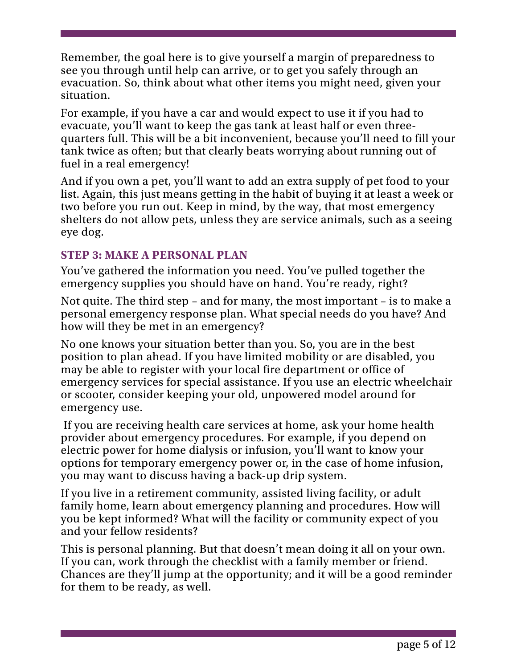Remember, the goal here is to give yourself a margin of preparedness to see you through until help can arrive, or to get you safely through an evacuation. So, think about what other items you might need, given your situation.

 For example, if you have a car and would expect to use it if you had to evacuate, you'll want to keep the gas tank at least half or even threequarters full. This will be a bit inconvenient, because you'll need to fill your tank twice as often; but that clearly beats worrying about running out of fuel in a real emergency!

 list. Again, this just means getting in the habit of buying it at least a week or And if you own a pet, you'll want to add an extra supply of pet food to your two before you run out. Keep in mind, by the way, that most emergency shelters do not allow pets, unless they are service animals, such as a seeing eye dog.

## **STEP 3: MAKE A PERSONAL PLAN**

You've gathered the information you need. You've pulled together the emergency supplies you should have on hand. You're ready, right?

Not quite. The third step – and for many, the most important – is to make a personal emergency response plan. What special needs do you have? And how will they be met in an emergency?

 may be able to register with your local fire department or office of No one knows your situation better than you. So, you are in the best position to plan ahead. If you have limited mobility or are disabled, you emergency services for special assistance. If you use an electric wheelchair or scooter, consider keeping your old, unpowered model around for emergency use.

If you are receiving health care services at home, ask your home health provider about emergency procedures. For example, if you depend on electric power for home dialysis or infusion, you'll want to know your options for temporary emergency power or, in the case of home infusion, you may want to discuss having a back-up drip system.

If you live in a retirement community, assisted living facility, or adult family home, learn about emergency planning and procedures. How will you be kept informed? What will the facility or community expect of you and your fellow residents?

 This is personal planning. But that doesn't mean doing it all on your own. Chances are they'll jump at the opportunity; and it will be a good reminder If you can, work through the checklist with a family member or friend. for them to be ready, as well.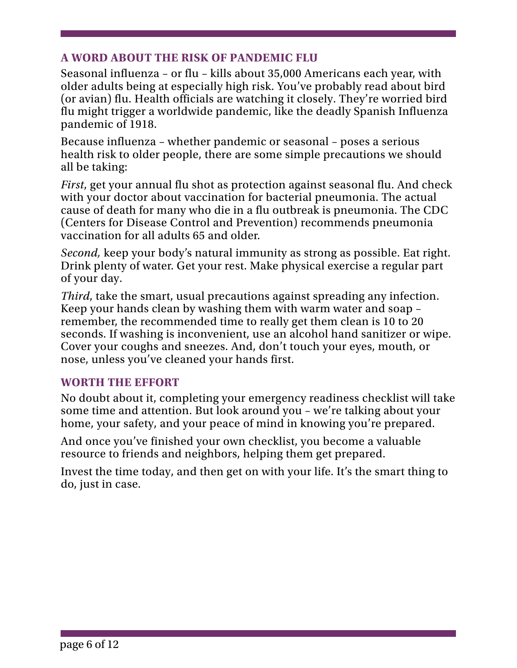# **A WORD ABOUT THE RISK OF PANDEMIC FLU**

Seasonal influenza – or flu – kills about 35,000 Americans each year, with older adults being at especially high risk. You've probably read about bird (or avian) flu. Health officials are watching it closely. They're worried bird flu might trigger a worldwide pandemic, like the deadly Spanish Influenza pandemic of 1918.

Because influenza – whether pandemic or seasonal – poses a serious health risk to older people, there are some simple precautions we should all be taking:

*First*, get your annual flu shot as protection against seasonal flu. And check with your doctor about vaccination for bacterial pneumonia. The actual cause of death for many who die in a flu outbreak is pneumonia. The CDC (Centers for Disease Control and Prevention) recommends pneumonia vaccination for all adults 65 and older.

*Second,* keep your body's natural immunity as strong as possible. Eat right. Drink plenty of water. Get your rest. Make physical exercise a regular part of your day.

 seconds. If washing is inconvenient, use an alcohol hand sanitizer or wipe. *Third*, take the smart, usual precautions against spreading any infection. Keep your hands clean by washing them with warm water and soap – remember, the recommended time to really get them clean is 10 to 20 Cover your coughs and sneezes. And, don't touch your eyes, mouth, or nose, unless you've cleaned your hands first.

## **WORTH THE EFFORT**

No doubt about it, completing your emergency readiness checklist will take some time and attention. But look around you – we're talking about your home, your safety, and your peace of mind in knowing you're prepared.

 And once you've finished your own checklist, you become a valuable resource to friends and neighbors, helping them get prepared.

Invest the time today, and then get on with your life. It's the smart thing to do, just in case.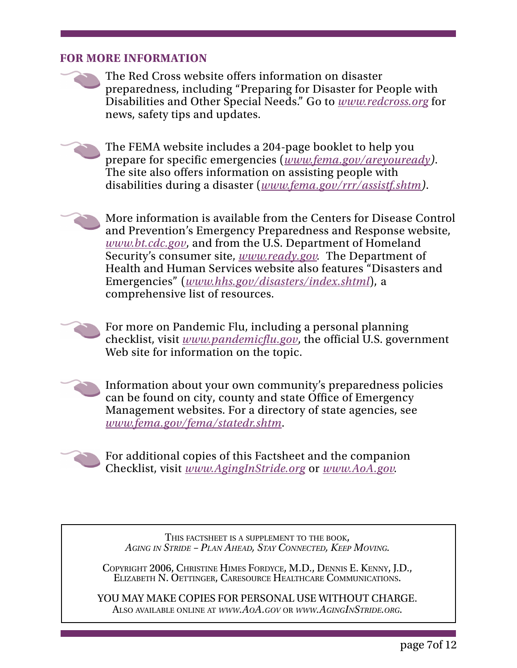#### **FOR MORE INFORMATION**

 Disabilities and Other Special Needs." Go to *[www.redcross.org](http://www.redcross.org)* for The Red Cross website offers information on disaster preparedness, including "Preparing for Disaster for People with news, safety tips and updates.

The FEMA website includes a 204-page booklet to help you prepare for specific emergencies (*[www.fema.gov/areyouready\)](http://www.fema.gov/areyouready)*. The site also offers information on assisting people with disabilities during a disaster (*[www.fema.gov/rrr/assistf.shtm\)](http://www.fema.gov/rrr/assistf.shtm)*.

 Security's consumer site, *[www.ready.gov.](http://www.ready.gov)* The Department of More information is available from the Centers for Disease Control and Prevention's Emergency Preparedness and Response website, *[www.bt.cdc.gov](http://www.bt.cdc.gov)*, and from the U.S. Department of Homeland Health and Human Services website also features "Disasters and Emergencies" (*[www.hhs.gov/disasters/index.shtml](http://www.hhs.gov/disasters/index.shtml)*), a comprehensive list of resources.

For more on Pandemic Flu, including a personal planning checklist, visit *[www.pandemicflu.gov](http://www.pandemicflu.gov)*, the official U.S. government Web site for information on the topic.

Information about your own community's preparedness policies can be found on city, county and state Office of Emergency Management websites. For a directory of state agencies, see *[www.fema.gov/fema/statedr.shtm](http://www.fema.gov/fema/statedr.shtm)*.



For additional copies of this Factsheet and the companion Checklist, visit *[www.AgingInStride.org](http://www.aginginstride.org)* or *[www.AoA.gov.](http://www.AoA.gov)* 

THIS FACTSHEET IS A SUPPLEMENT TO THE BOOK, *AGING IN STRIDE – PLAN AHEAD*, *STAY CONNECTED, KEEP MOVING.* 

COPYRIGHT 2006, CHRISTINE HIMES FORDYCE, M.D., DENNIS E. KENNY, J.D., ELIZABETH N. OETTINGER, CARESOURCE HEALTHCARE COMMUNICATIONS.

YOU MAY MAKE COPIES FOR PERSONAL USE WITHOUT CHARGE. ALSO AVAILABLE ONLINE AT *[WWW.AOA.GOV](http://www.AoA.gov)* OR *[WWW.AGINGINSTRIDE.ORG](http://www.AgingInStride.org)*.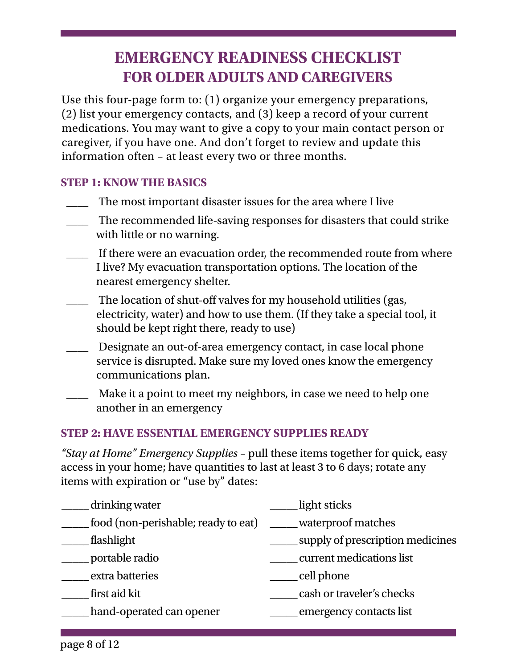# **EMERGENCY READINESS CHECKLIST FOR OLDER ADULTS AND CAREGIVERS**

Use this four-page form to: (1) organize your emergency preparations, (2) list your emergency contacts, and (3) keep a record of your current medications. You may want to give a copy to your main contact person or caregiver, if you have one. And don't forget to review and update this information often – at least every two or three months.

# **STEP 1: KNOW THE BASICS**

- The most important disaster issues for the area where I live
- \_\_\_\_ The recommended life-saving responses for disasters that could strike with little or no warning.
- If there were an evacuation order, the recommended route from where I live? My evacuation transportation options. The location of the nearest emergency shelter.
- should be kept right there, ready to use) The location of shut-off valves for my household utilities (gas, electricity, water) and how to use them. (If they take a special tool, it
- Designate an out-of-area emergency contact, in case local phone service is disrupted. Make sure my loved ones know the emergency communications plan.
- \_\_\_\_ Make it a point to meet my neighbors, in case we need to help one another in an emergency

# **STEP 2: HAVE ESSENTIAL EMERGENCY SUPPLIES READY**

 access in your home; have quantities to last at least 3 to 6 days; rotate any *"Stay at Home" Emergency Supplies* – pull these items together for quick, easy items with expiration or "use by" dates:

| drinking water                      | light sticks                     |
|-------------------------------------|----------------------------------|
| food (non-perishable; ready to eat) | waterproof matches               |
| flashlight                          | supply of prescription medicines |
| portable radio                      | current medications list         |
| extra batteries                     | cell phone                       |
| first aid kit                       | cash or traveler's checks        |
| hand-operated can opener            | emergency contacts list          |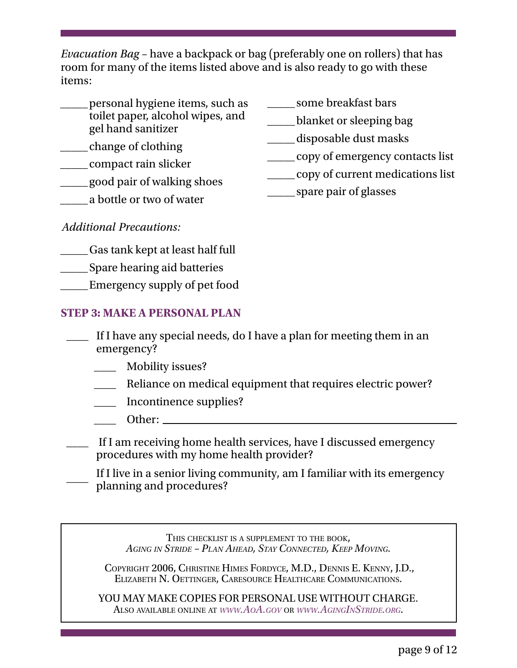*Evacuation Bag* – have a backpack or bag (preferably one on rollers) that has room for many of the items listed above and is also ready to go with these items:

- personal hygiene items, such as  $\qquad \qquad$  some breakfast bars toilet paper, alcohol wipes, and \_\_\_\_\_ blanket or sleeping bag gel hand sanitizer \_\_\_\_\_ disposable dust masks \_\_\_\_\_ change of clothing \_\_\_\_\_ copy of emergency contacts list \_\_\_\_\_ compact rain slicker \_\_\_\_\_ copy of current medications list \_\_\_\_\_ good pair of walking shoes \_\_\_\_\_ spare pair of glasses \_\_\_\_\_ a bottle or two of water
- 
- 
- 
- 
- 
- 
- 
- 
- 
- 

*Additional Precautions:* 

- \_\_\_\_ Gas tank kept at least half full \_
- \_\_\_\_ \_ Spare hearing aid batteries

\_\_\_\_ \_ Emergency supply of pet food

# **TEP S 3: MAKE A PERSONAL PLAN**

- $\overline{\phantom{a}}$ If I have any special needs, do I have a plan for meeting them in an emergency?
	- \_\_\_\_ Mobility issues?
	- Reliance on medical equipment that requires electric power?
	- \_\_\_\_ Incontinence supplies?
	- $\rule{1em}{0.15mm}$  Other:

\_\_\_\_ If I am receiving home health services, have I discussed emergency procedures with my home health provider?

If I live in a senior living community, am I familiar with its emergency planning and procedures?

THIS CHECKLIST IS A SUPPLEMENT TO THE BOOK, *AGING IN STRIDE – PLAN AHEAD*, *STAY CONNECTED, KEEP MOVING.* 

COPYRIGHT 2006, CHRISTINE HIMES FORDYCE, M.D., DENNIS E. KENNY, J.D., ELIZABETH N. OETTINGER, CARESOURCE HEALTHCARE COMMUNICATIONS.

YOU MAY MAKE COPIES FOR PERSONAL USE WITHOUT CHARGE. ALSO AVAILABLE ONLINE AT *[WWW.AOA.GOV](http://www.AoA.gov)* OR *[WWW.AGINGINSTRIDE.ORG](http://www.AgingInStride.org)*.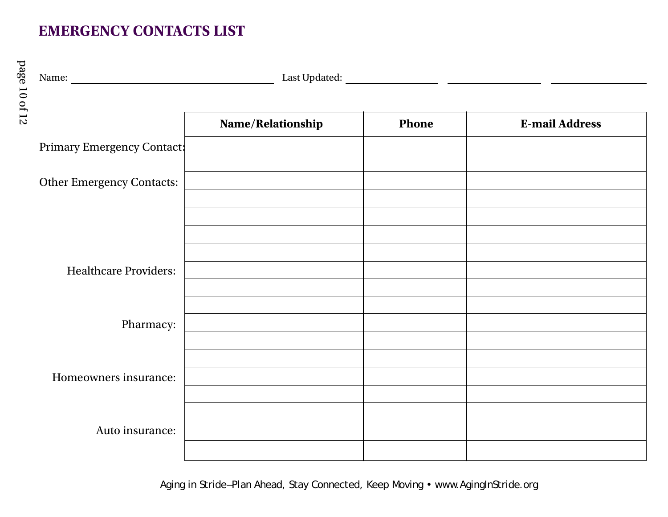# **EMERGENCY CONTACTS LIST**

page 10 of 12

page 10 of 12

|                                  | Name/Relationship | <b>Phone</b> | <b>E-mail Address</b> |
|----------------------------------|-------------------|--------------|-----------------------|
| Primary Emergency Contact:       |                   |              |                       |
| <b>Other Emergency Contacts:</b> |                   |              |                       |
| <b>Healthcare Providers:</b>     |                   |              |                       |
| Pharmacy:                        |                   |              |                       |
| Homeowners insurance:            |                   |              |                       |
| Auto insurance:                  |                   |              |                       |

Aging in Stride–Plan Ahead, Stay Connected, Keep Moving • www.AgingInStride.org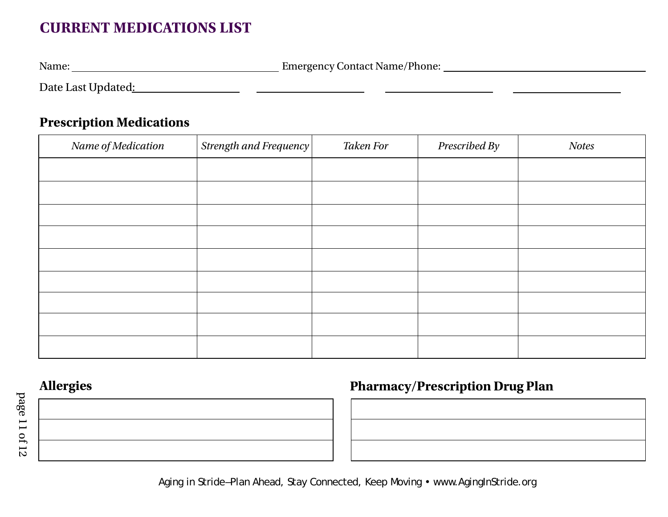# **CURRENT MEDICATIONS LIST**

Name: Name: Name: Name: Name: Emergency Contact Name/Phone: Name: Name: Name: Name: Name: Name: Name: Name: Name: Name: Name: Name: Name: Name: Name: Name: Name: Name: Name: Name: Name: Name: Name: Name: Name: Name: Name:

Date Last Updated:

# **Prescription Medications**

| Name of Medication | Strength and Frequency | <b>Taken For</b> | Prescribed By | <b>Notes</b> |
|--------------------|------------------------|------------------|---------------|--------------|
|                    |                        |                  |               |              |
|                    |                        |                  |               |              |
|                    |                        |                  |               |              |
|                    |                        |                  |               |              |
|                    |                        |                  |               |              |
|                    |                        |                  |               |              |
|                    |                        |                  |               |              |
|                    |                        |                  |               |              |
|                    |                        |                  |               |              |

# Allergies **Pharmacy/Prescription Drug Plan**

Aging in Stride –Plan Ahead, Stay Connected, Keep Moving • www.AgingInStride.org

page 11 of 12 page 11 of 12